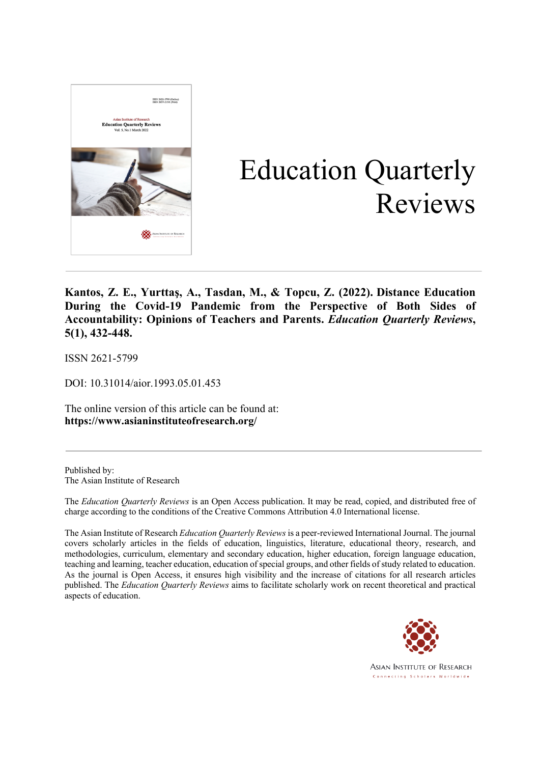

# Education Quarterly Reviews

**Kantos, Z. E., Yurttaş, A., Tasdan, M., & Topcu, Z. (2022). Distance Education During the Covid-19 Pandemic from the Perspective of Both Sides of Accountability: Opinions of Teachers and Parents.** *Education Quarterly Reviews***, 5(1), 432-448.**

ISSN 2621-5799

DOI: 10.31014/aior.1993.05.01.453

The online version of this article can be found at: **https://www.asianinstituteofresearch.org/**

Published by: The Asian Institute of Research

The *Education Quarterly Reviews* is an Open Access publication. It may be read, copied, and distributed free of charge according to the conditions of the Creative Commons Attribution 4.0 International license.

The Asian Institute of Research *Education Quarterly Reviews* is a peer-reviewed International Journal. The journal covers scholarly articles in the fields of education, linguistics, literature, educational theory, research, and methodologies, curriculum, elementary and secondary education, higher education, foreign language education, teaching and learning, teacher education, education of special groups, and other fields of study related to education. As the journal is Open Access, it ensures high visibility and the increase of citations for all research articles published. The *Education Quarterly Reviews* aims to facilitate scholarly work on recent theoretical and practical aspects of education.



**ASIAN INSTITUTE OF RESEARCH** Connecting Scholars Worldwide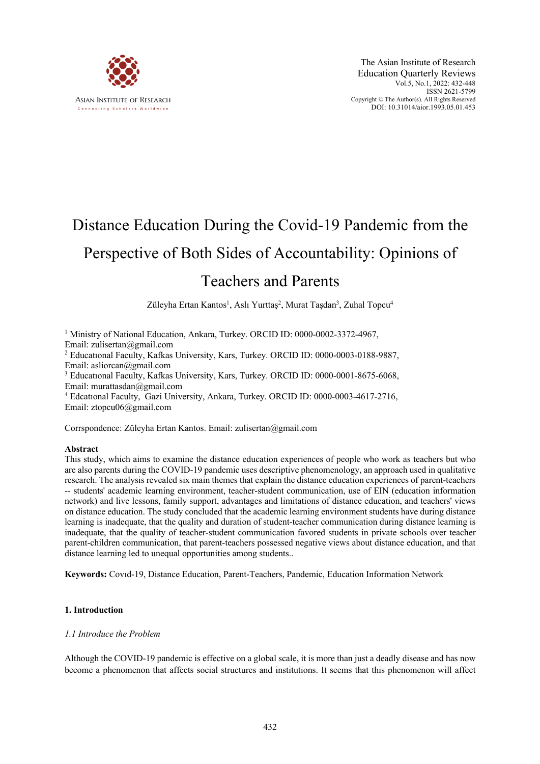

# Distance Education During the Covid-19 Pandemic from the Perspective of Both Sides of Accountability: Opinions of Teachers and Parents

Züleyha Ertan Kantos<sup>1</sup>, Aslı Yurttaş<sup>2</sup>, Murat Taşdan<sup>3</sup>, Zuhal Topcu<sup>4</sup>

<sup>1</sup> Ministry of National Education, Ankara, Turkey. ORCID ID: 0000-0002-3372-4967, Email: zulisertan@gmail.com <sup>2</sup> Educatıonal Faculty, Kafkas University, Kars, Turkey. ORCID ID: 0000-0003-0188-9887, Email: asliorcan@gmail.com <sup>3</sup> Educational Faculty, Kafkas University, Kars, Turkey. ORCID ID: 0000-0001-8675-6068, Email: murattasdan@gmail.com <sup>4</sup> Edcatıonal Faculty, Gazi University, Ankara, Turkey. ORCID ID: 0000-0003-4617-2716, Email: ztopcu06@gmail.com

Corrspondence: Züleyha Ertan Kantos. Email: zulisertan@gmail.com

#### **Abstract**

This study, which aims to examine the distance education experiences of people who work as teachers but who are also parents during the COVID-19 pandemic uses descriptive phenomenology, an approach used in qualitative research. The analysis revealed six main themes that explain the distance education experiences of parent-teachers -- students' academic learning environment, teacher-student communication, use of EIN (education information network) and live lessons, family support, advantages and limitations of distance education, and teachers' views on distance education. The study concluded that the academic learning environment students have during distance learning is inadequate, that the quality and duration of student-teacher communication during distance learning is inadequate, that the quality of teacher-student communication favored students in private schools over teacher parent-children communication, that parent-teachers possessed negative views about distance education, and that distance learning led to unequal opportunities among students..

**Keywords:** Covıd-19, Distance Education, Parent-Teachers, Pandemic, Education Information Network

#### **1. Introduction**

#### *1.1 Introduce the Problem*

Although the COVID-19 pandemic is effective on a global scale, it is more than just a deadly disease and has now become a phenomenon that affects social structures and institutions. It seems that this phenomenon will affect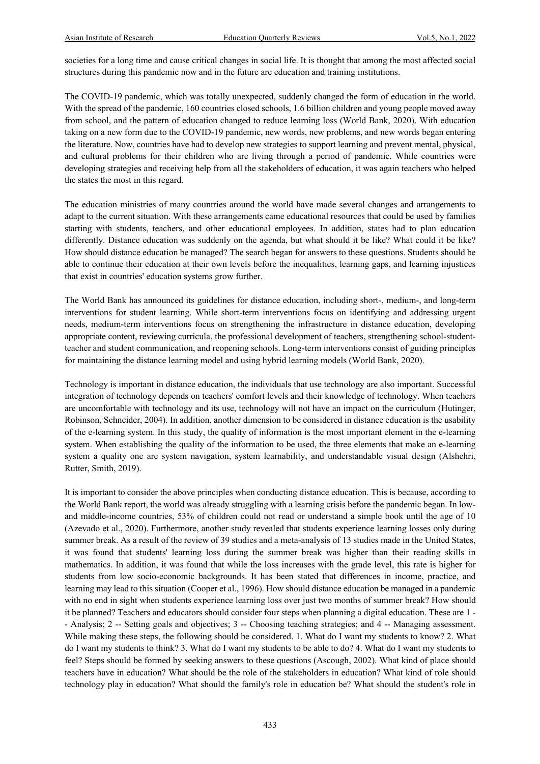societies for a long time and cause critical changes in social life. It is thought that among the most affected social structures during this pandemic now and in the future are education and training institutions.

The COVID-19 pandemic, which was totally unexpected, suddenly changed the form of education in the world. With the spread of the pandemic, 160 countries closed schools, 1.6 billion children and young people moved away from school, and the pattern of education changed to reduce learning loss (World Bank, 2020). With education taking on a new form due to the COVID-19 pandemic, new words, new problems, and new words began entering the literature. Now, countries have had to develop new strategies to support learning and prevent mental, physical, and cultural problems for their children who are living through a period of pandemic. While countries were developing strategies and receiving help from all the stakeholders of education, it was again teachers who helped the states the most in this regard.

The education ministries of many countries around the world have made several changes and arrangements to adapt to the current situation. With these arrangements came educational resources that could be used by families starting with students, teachers, and other educational employees. In addition, states had to plan education differently. Distance education was suddenly on the agenda, but what should it be like? What could it be like? How should distance education be managed? The search began for answers to these questions. Students should be able to continue their education at their own levels before the inequalities, learning gaps, and learning injustices that exist in countries' education systems grow further.

The World Bank has announced its guidelines for distance education, including short-, medium-, and long-term interventions for student learning. While short-term interventions focus on identifying and addressing urgent needs, medium-term interventions focus on strengthening the infrastructure in distance education, developing appropriate content, reviewing curricula, the professional development of teachers, strengthening school-studentteacher and student communication, and reopening schools. Long-term interventions consist of guiding principles for maintaining the distance learning model and using hybrid learning models (World Bank, 2020).

Technology is important in distance education, the individuals that use technology are also important. Successful integration of technology depends on teachers' comfort levels and their knowledge of technology. When teachers are uncomfortable with technology and its use, technology will not have an impact on the curriculum (Hutinger, Robinson, Schneider, 2004). In addition, another dimension to be considered in distance education is the usability of the e-learning system. In this study, the quality of information is the most important element in the e-learning system. When establishing the quality of the information to be used, the three elements that make an e-learning system a quality one are system navigation, system learnability, and understandable visual design (Alshehri, Rutter, Smith, 2019).

It is important to consider the above principles when conducting distance education. This is because, according to the World Bank report, the world was already struggling with a learning crisis before the pandemic began. In lowand middle-income countries, 53% of children could not read or understand a simple book until the age of 10 (Azevado et al., 2020). Furthermore, another study revealed that students experience learning losses only during summer break. As a result of the review of 39 studies and a meta-analysis of 13 studies made in the United States, it was found that students' learning loss during the summer break was higher than their reading skills in mathematics. In addition, it was found that while the loss increases with the grade level, this rate is higher for students from low socio-economic backgrounds. It has been stated that differences in income, practice, and learning may lead to this situation (Cooper et al., 1996). How should distance education be managed in a pandemic with no end in sight when students experience learning loss over just two months of summer break? How should it be planned? Teachers and educators should consider four steps when planning a digital education. These are 1 - - Analysis; 2 -- Setting goals and objectives; 3 -- Choosing teaching strategies; and 4 -- Managing assessment. While making these steps, the following should be considered. 1. What do I want my students to know? 2. What do I want my students to think? 3. What do I want my students to be able to do? 4. What do I want my students to feel? Steps should be formed by seeking answers to these questions (Ascough, 2002). What kind of place should teachers have in education? What should be the role of the stakeholders in education? What kind of role should technology play in education? What should the family's role in education be? What should the student's role in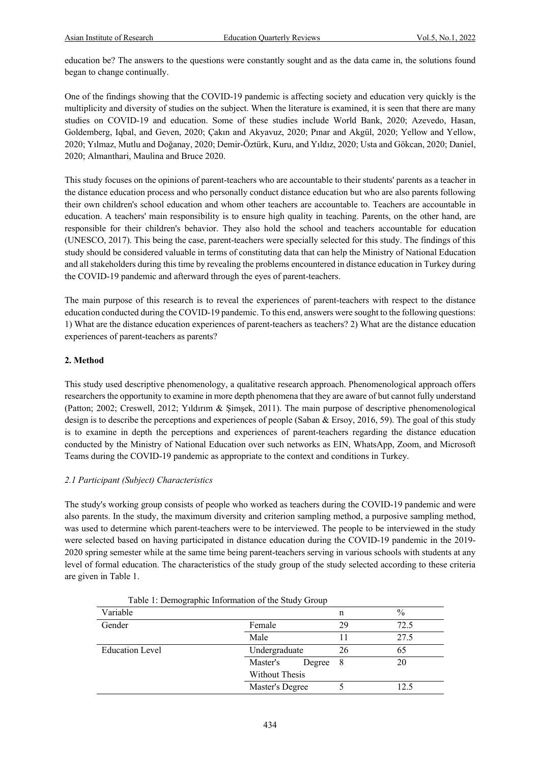education be? The answers to the questions were constantly sought and as the data came in, the solutions found began to change continually.

One of the findings showing that the COVID-19 pandemic is affecting society and education very quickly is the multiplicity and diversity of studies on the subject. When the literature is examined, it is seen that there are many studies on COVID-19 and education. Some of these studies include World Bank, 2020; Azevedo, Hasan, Goldemberg, Iqbal, and Geven, 2020; Çakın and Akyavuz, 2020; Pınar and Akgül, 2020; Yellow and Yellow, 2020; Yılmaz, Mutlu and Doğanay, 2020; Demir-Öztürk, Kuru, and Yıldız, 2020; Usta and Gökcan, 2020; Daniel, 2020; Almanthari, Maulina and Bruce 2020.

This study focuses on the opinions of parent-teachers who are accountable to their students' parents as a teacher in the distance education process and who personally conduct distance education but who are also parents following their own children's school education and whom other teachers are accountable to. Teachers are accountable in education. A teachers' main responsibility is to ensure high quality in teaching. Parents, on the other hand, are responsible for their children's behavior. They also hold the school and teachers accountable for education (UNESCO, 2017). This being the case, parent-teachers were specially selected for this study. The findings of this study should be considered valuable in terms of constituting data that can help the Ministry of National Education and all stakeholders during this time by revealing the problems encountered in distance education in Turkey during the COVID-19 pandemic and afterward through the eyes of parent-teachers.

The main purpose of this research is to reveal the experiences of parent-teachers with respect to the distance education conducted during the COVID-19 pandemic. To this end, answers were sought to the following questions: 1) What are the distance education experiences of parent-teachers as teachers? 2) What are the distance education experiences of parent-teachers as parents?

# **2. Method**

This study used descriptive phenomenology, a qualitative research approach. Phenomenological approach offers researchers the opportunity to examine in more depth phenomena that they are aware of but cannot fully understand (Patton; 2002; Creswell, 2012; Yıldırım & Şimşek, 2011). The main purpose of descriptive phenomenological design is to describe the perceptions and experiences of people (Saban & Ersoy, 2016, 59). The goal of this study is to examine in depth the perceptions and experiences of parent-teachers regarding the distance education conducted by the Ministry of National Education over such networks as EIN, WhatsApp, Zoom, and Microsoft Teams during the COVID-19 pandemic as appropriate to the context and conditions in Turkey.

## *2.1 Participant (Subject) Characteristics*

The study's working group consists of people who worked as teachers during the COVID-19 pandemic and were also parents. In the study, the maximum diversity and criterion sampling method, a purposive sampling method, was used to determine which parent-teachers were to be interviewed. The people to be interviewed in the study were selected based on having participated in distance education during the COVID-19 pandemic in the 2019- 2020 spring semester while at the same time being parent-teachers serving in various schools with students at any level of formal education. The characteristics of the study group of the study selected according to these criteria are given in Table 1.

|                        | Tuble 1: Demographic information of the bluery stoup |    |               |  |  |  |  |
|------------------------|------------------------------------------------------|----|---------------|--|--|--|--|
| Variable               |                                                      | n  | $\frac{0}{0}$ |  |  |  |  |
| Gender                 | Female                                               | 29 | 72.5          |  |  |  |  |
|                        | Male                                                 |    | 27.5          |  |  |  |  |
| <b>Education Level</b> | Undergraduate                                        | 26 | 65            |  |  |  |  |
|                        | Master's<br>Degree 8                                 |    | 20            |  |  |  |  |
|                        | Without Thesis                                       |    |               |  |  |  |  |
|                        | Master's Degree                                      |    | 12.5          |  |  |  |  |

Table 1: Demographic Information of the Study Group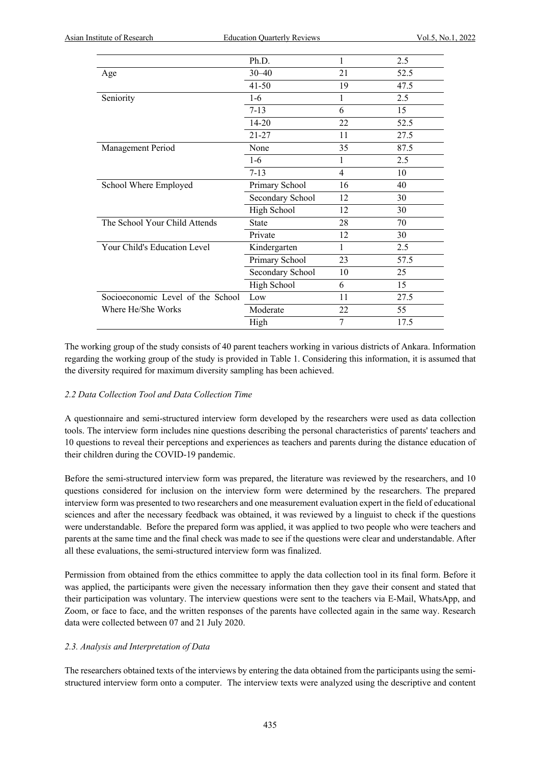|                                   | Ph.D.            | 1            | 2.5  |
|-----------------------------------|------------------|--------------|------|
| Age                               | $30 - 40$        | 21           | 52.5 |
|                                   | $41 - 50$        | 19           | 47.5 |
| Seniority                         | $1-6$            | 1            | 2.5  |
|                                   | $7 - 13$         | 6            | 15   |
|                                   | 14-20            | 22           | 52.5 |
|                                   | 21-27            | 11           | 27.5 |
| Management Period                 | None             | 35           | 87.5 |
|                                   | $1-6$            | 1            | 2.5  |
|                                   | $7 - 13$         | 4            | 10   |
| School Where Employed             | Primary School   | 16           | 40   |
|                                   | Secondary School | 12           | 30   |
|                                   | High School      | 12           | 30   |
| The School Your Child Attends     | <b>State</b>     | 28           | 70   |
|                                   | Private          | 12           | 30   |
| Your Child's Education Level      | Kindergarten     | $\mathbf{1}$ | 2.5  |
|                                   | Primary School   | 23           | 57.5 |
|                                   | Secondary School | 10           | 25   |
|                                   | High School      | 6            | 15   |
| Socioeconomic Level of the School | Low              | 11           | 27.5 |
| Where He/She Works                | Moderate         | 22           | 55   |
|                                   | High             | 7            | 17.5 |

The working group of the study consists of 40 parent teachers working in various districts of Ankara. Information regarding the working group of the study is provided in Table 1. Considering this information, it is assumed that the diversity required for maximum diversity sampling has been achieved.

#### *2.2 Data Collection Tool and Data Collection Time*

A questionnaire and semi-structured interview form developed by the researchers were used as data collection tools. The interview form includes nine questions describing the personal characteristics of parents' teachers and 10 questions to reveal their perceptions and experiences as teachers and parents during the distance education of their children during the COVID-19 pandemic.

Before the semi-structured interview form was prepared, the literature was reviewed by the researchers, and 10 questions considered for inclusion on the interview form were determined by the researchers. The prepared interview form was presented to two researchers and one measurement evaluation expert in the field of educational sciences and after the necessary feedback was obtained, it was reviewed by a linguist to check if the questions were understandable. Before the prepared form was applied, it was applied to two people who were teachers and parents at the same time and the final check was made to see if the questions were clear and understandable. After all these evaluations, the semi-structured interview form was finalized.

Permission from obtained from the ethics committee to apply the data collection tool in its final form. Before it was applied, the participants were given the necessary information then they gave their consent and stated that their participation was voluntary. The interview questions were sent to the teachers via E-Mail, WhatsApp, and Zoom, or face to face, and the written responses of the parents have collected again in the same way. Research data were collected between 07 and 21 July 2020.

## *2.3. Analysis and Interpretation of Data*

The researchers obtained texts of the interviews by entering the data obtained from the participants using the semistructured interview form onto a computer. The interview texts were analyzed using the descriptive and content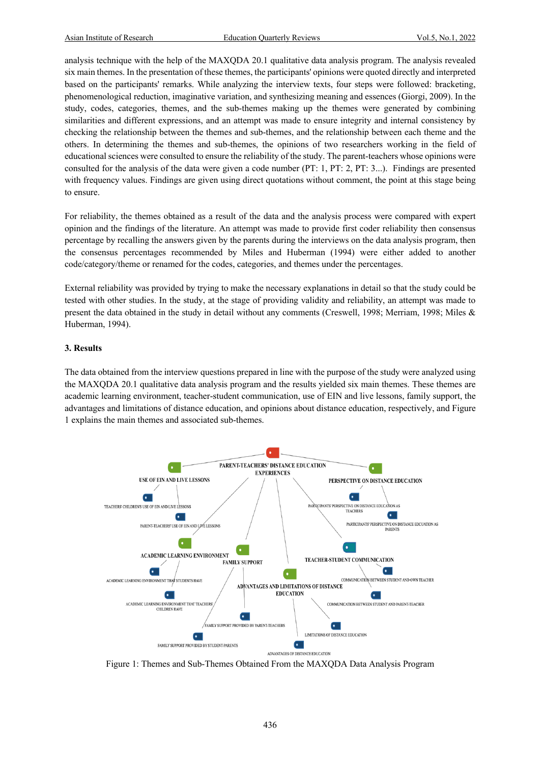analysis technique with the help of the MAXQDA 20.1 qualitative data analysis program. The analysis revealed six main themes. In the presentation of these themes, the participants' opinions were quoted directly and interpreted based on the participants' remarks. While analyzing the interview texts, four steps were followed: bracketing, phenomenological reduction, imaginative variation, and synthesizing meaning and essences (Giorgi, 2009). In the study, codes, categories, themes, and the sub-themes making up the themes were generated by combining similarities and different expressions, and an attempt was made to ensure integrity and internal consistency by checking the relationship between the themes and sub-themes, and the relationship between each theme and the others. In determining the themes and sub-themes, the opinions of two researchers working in the field of educational sciences were consulted to ensure the reliability of the study. The parent-teachers whose opinions were consulted for the analysis of the data were given a code number (PT: 1, PT: 2, PT: 3...). Findings are presented with frequency values. Findings are given using direct quotations without comment, the point at this stage being to ensure.

For reliability, the themes obtained as a result of the data and the analysis process were compared with expert opinion and the findings of the literature. An attempt was made to provide first coder reliability then consensus percentage by recalling the answers given by the parents during the interviews on the data analysis program, then the consensus percentages recommended by Miles and Huberman (1994) were either added to another code/category/theme or renamed for the codes, categories, and themes under the percentages.

External reliability was provided by trying to make the necessary explanations in detail so that the study could be tested with other studies. In the study, at the stage of providing validity and reliability, an attempt was made to present the data obtained in the study in detail without any comments (Creswell, 1998; Merriam, 1998; Miles & Huberman, 1994).

#### **3. Results**

The data obtained from the interview questions prepared in line with the purpose of the study were analyzed using the MAXQDA 20.1 qualitative data analysis program and the results yielded six main themes. These themes are academic learning environment, teacher-student communication, use of EIN and live lessons, family support, the advantages and limitations of distance education, and opinions about distance education, respectively, and Figure 1 explains the main themes and associated sub-themes.



Figure 1: Themes and Sub-Themes Obtained From the MAXQDA Data Analysis Program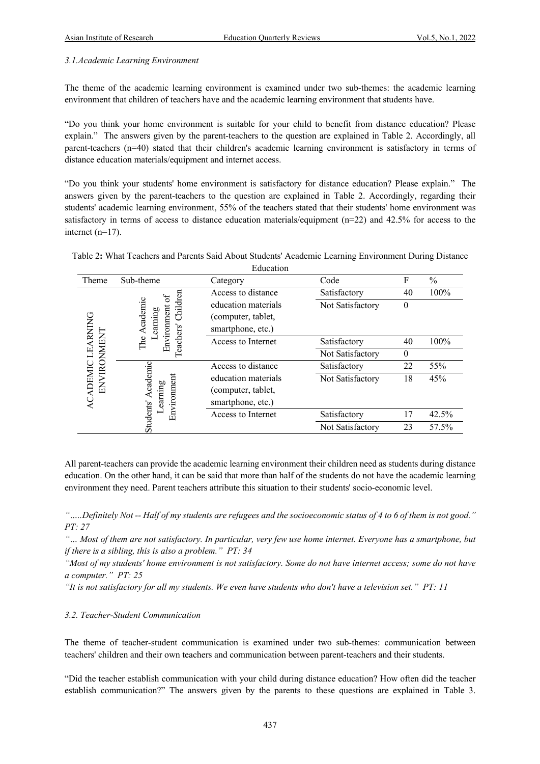#### *3.1.Academic Learning Environment*

The theme of the academic learning environment is examined under two sub-themes: the academic learning environment that children of teachers have and the academic learning environment that students have.

"Do you think your home environment is suitable for your child to benefit from distance education? Please explain." The answers given by the parent-teachers to the question are explained in Table 2. Accordingly, all parent-teachers (n=40) stated that their children's academic learning environment is satisfactory in terms of distance education materials/equipment and internet access.

"Do you think your students' home environment is satisfactory for distance education? Please explain." The answers given by the parent-teachers to the question are explained in Table 2. Accordingly, regarding their students' academic learning environment, 55% of the teachers stated that their students' home environment was satisfactory in terms of access to distance education materials/equipment (n=22) and 42.5% for access to the internet (n=17).

| Education |  |  |                                                                                                       |  |  |
|-----------|--|--|-------------------------------------------------------------------------------------------------------|--|--|
|           |  |  | Table 2: What Teachers and Parents Said About Students' Academic Learning Environment During Distance |  |  |

| Theme                        | Sub-theme                                   | Category            | Code             | F        | $\frac{0}{0}$ |
|------------------------------|---------------------------------------------|---------------------|------------------|----------|---------------|
|                              |                                             | Access to distance  | Satisfactory     | 40       | 100%          |
|                              | Children<br>Academic                        | education materials | Not Satisfactory | $\theta$ |               |
|                              |                                             | (computer, tablet,  |                  |          |               |
|                              | earning                                     | smartphone, etc.)   |                  |          |               |
| <b>LEARNING</b><br>VIRONMENT | Environment<br>Teachers'<br>The.<br>cademic | Access to Internet  | Satisfactory     | 40       | 100%          |
|                              |                                             |                     | Not Satisfactory | $\theta$ |               |
|                              |                                             | Access to distance  | Satisfactory     | 22       | 55%           |
|                              |                                             | education materials | Not Satisfactory | 18       | 45%           |
| 叾                            |                                             | (computer, tablet,  |                  |          |               |
| <b>ACADEMIC</b>              | Environment<br>earning                      | smartphone, etc.)   |                  |          |               |
|                              | Students'                                   | Access to Internet  | Satisfactory     | 17       | 42.5%         |
|                              |                                             |                     | Not Satisfactory | 23       | 57.5%         |

All parent-teachers can provide the academic learning environment their children need as students during distance education. On the other hand, it can be said that more than half of the students do not have the academic learning environment they need. Parent teachers attribute this situation to their students' socio-economic level.

*"…..Definitely Not -- Half of my students are refugees and the socioeconomic status of 4 to 6 of them is not good." PT: 27*

*"… Most of them are not satisfactory. In particular, very few use home internet. Everyone has a smartphone, but if there is a sibling, this is also a problem." PT: 34*

*"Most of my students' home environment is not satisfactory. Some do not have internet access; some do not have a computer." PT: 25*

*"It is not satisfactory for all my students. We even have students who don't have a television set." PT: 11*

#### *3.2. Teacher-Student Communication*

The theme of teacher-student communication is examined under two sub-themes: communication between teachers' children and their own teachers and communication between parent-teachers and their students.

"Did the teacher establish communication with your child during distance education? How often did the teacher establish communication?" The answers given by the parents to these questions are explained in Table 3.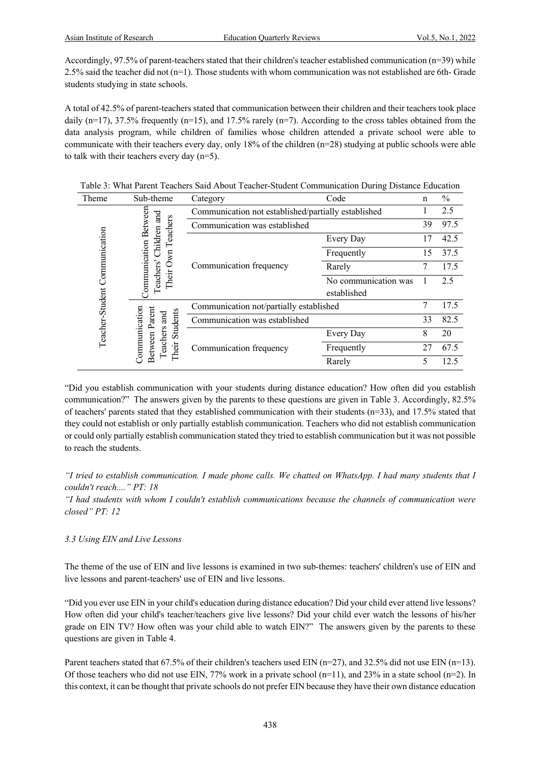Accordingly,  $97.5\%$  of parent-teachers stated that their children's teacher established communication (n=39) while 2.5% said the teacher did not (n=1). Those students with whom communication was not established are 6th- Grade students studying in state schools.

A total of 42.5% of parent-teachers stated that communication between their children and their teachers took place daily (n=17), 37.5% frequently (n=15), and 17.5% rarely (n=7). According to the cross tables obtained from the data analysis program, while children of families whose children attended a private school were able to communicate with their teachers every day, only 18% of the children (n=28) studying at public schools were able to talk with their teachers every day (n=5).

|  | Table 3: What Parent Teachers Said About Teacher-Student Communication During Distance Education                                                                                                                                                                                                                                                                                                  |  |
|--|---------------------------------------------------------------------------------------------------------------------------------------------------------------------------------------------------------------------------------------------------------------------------------------------------------------------------------------------------------------------------------------------------|--|
|  | $\mathbf{T}^{\dagger}$ , $\mathbf{C}^{\dagger}$ , $\mathbf{C}^{\dagger}$ , $\mathbf{C}^{\dagger}$ , $\mathbf{C}^{\dagger}$ , $\mathbf{C}^{\dagger}$ , $\mathbf{C}^{\dagger}$ , $\mathbf{C}^{\dagger}$ , $\mathbf{C}^{\dagger}$ , $\mathbf{C}^{\dagger}$ , $\mathbf{C}^{\dagger}$ , $\mathbf{C}^{\dagger}$ , $\mathbf{C}^{\dagger}$ , $\mathbf{C}^{\dagger}$ , $\mathbf{C}^{\dagger}$<br>$\sim$ 0/ |  |

| Theme           | Sub-theme                                                     | Category                                            | Code                 | n  | $\frac{0}{0}$ |
|-----------------|---------------------------------------------------------------|-----------------------------------------------------|----------------------|----|---------------|
| Communication   | $_{\rm rad}$                                                  | Communication not established/partially established |                      |    | 2.5           |
|                 |                                                               | Communication was established                       |                      | 39 | 97.5          |
|                 | Teachers<br>Children                                          |                                                     | Every Day            | 17 | 42.5          |
|                 | $_{\rm{wn}}$                                                  |                                                     | Frequently           | 15 | 37.5          |
|                 | Communication Between<br>Teachers'                            | Communication frequency                             | Rarely               |    | 17.5          |
|                 | Their                                                         |                                                     | No communication was |    | 2.5           |
|                 |                                                               |                                                     | established          |    |               |
|                 |                                                               | Communication not/partially established             |                      |    | 17.5          |
|                 | and                                                           | Communication was established                       |                      | 33 | 82.5          |
| Teacher-Student |                                                               | Communication frequency                             | Every Day            | 8  | 20            |
|                 | Communication<br>Between Parent<br>Their Students<br>Teachers |                                                     | Frequently           | 27 | 67.5          |
|                 |                                                               |                                                     | Rarely               |    | 12.5          |

"Did you establish communication with your students during distance education? How often did you establish communication?" The answers given by the parents to these questions are given in Table 3. Accordingly, 82.5% of teachers' parents stated that they established communication with their students (n=33), and 17.5% stated that they could not establish or only partially establish communication. Teachers who did not establish communication or could only partially establish communication stated they tried to establish communication but it was not possible to reach the students.

*"I tried to establish communication. I made phone calls. We chatted on WhatsApp. I had many students that I couldn't reach...." PT: 18* 

*"I had students with whom I couldn't establish communications because the channels of communication were closed" PT: 12*

## *3.3 Using EIN and Live Lessons*

The theme of the use of EIN and live lessons is examined in two sub-themes: teachers' children's use of EIN and live lessons and parent-teachers' use of EIN and live lessons.

"Did you ever use EIN in your child's education during distance education? Did your child ever attend live lessons? How often did your child's teacher/teachers give live lessons? Did your child ever watch the lessons of his/her grade on EIN TV? How often was your child able to watch EIN?" The answers given by the parents to these questions are given in Table 4.

Parent teachers stated that 67.5% of their children's teachers used EIN (n=27), and 32.5% did not use EIN (n=13). Of those teachers who did not use EIN, 77% work in a private school  $(n=11)$ , and 23% in a state school  $(n=2)$ . In this context, it can be thought that private schools do not prefer EIN because they have their own distance education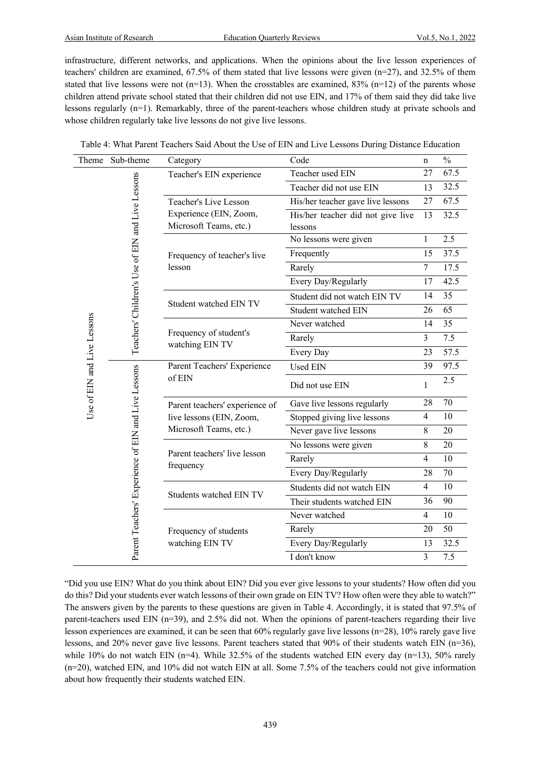$\overline{\phantom{a}}$ 

infrastructure, different networks, and applications. When the opinions about the live lesson experiences of teachers' children are examined, 67.5% of them stated that live lessons were given (n=27), and 32.5% of them stated that live lessons were not (n=13). When the crosstables are examined, 83% (n=12) of the parents whose children attend private school stated that their children did not use EIN, and 17% of them said they did take live lessons regularly (n=1). Remarkably, three of the parent-teachers whose children study at private schools and whose children regularly take live lessons do not give live lessons.

|  |  |  | Table 4: What Parent Teachers Said About the Use of EIN and Live Lessons During Distance Education |
|--|--|--|----------------------------------------------------------------------------------------------------|
|  |  |  |                                                                                                    |

| Theme                       | Sub-theme                                           | Category                                                                             | Code                              | n              | $\frac{0}{0}$ |
|-----------------------------|-----------------------------------------------------|--------------------------------------------------------------------------------------|-----------------------------------|----------------|---------------|
|                             |                                                     | Teacher's EIN experience                                                             | Teacher used EIN                  | 27             | 67.5          |
|                             |                                                     |                                                                                      | Teacher did not use EIN           | 13             | 32.5          |
|                             |                                                     | Teacher's Live Lesson                                                                | His/her teacher gave live lessons | 27             | 67.5          |
|                             |                                                     | Experience (EIN, Zoom,                                                               | His/her teacher did not give live | 13             | 32.5          |
|                             |                                                     | Microsoft Teams, etc.)                                                               | lessons                           |                |               |
|                             |                                                     |                                                                                      | No lessons were given             | 1              | 2.5           |
|                             |                                                     | Frequency of teacher's live                                                          | Frequently                        | 15             | 37.5          |
|                             |                                                     | lesson                                                                               | Rarely                            | $\overline{7}$ | 17.5          |
|                             |                                                     |                                                                                      | Every Day/Regularly               | 17             | 42.5          |
|                             | Teachers' Children's Use of EIN and Live Lessons    | Student watched EIN TV                                                               | Student did not watch EIN TV      | 14             | 35            |
|                             |                                                     |                                                                                      | Student watched EIN               | 26             | 65            |
|                             |                                                     | Frequency of student's<br>watching EIN TV                                            | Never watched                     | 14             | 35            |
| Use of EIN and Live Lessons |                                                     |                                                                                      | Rarely                            | $\overline{3}$ | 7.5           |
|                             |                                                     |                                                                                      | <b>Every Day</b>                  | 23             | 57.5          |
|                             | Parent Teachers' Experience of EIN and Live Lessons | Parent Teachers' Experience<br>of EIN                                                | <b>Used EIN</b>                   | 39             | 97.5          |
|                             |                                                     |                                                                                      | Did not use EIN                   | 1              | 2.5           |
|                             |                                                     | Parent teachers' experience of<br>live lessons (EIN, Zoom,<br>Microsoft Teams, etc.) | Gave live lessons regularly       | 28             | 70            |
|                             |                                                     |                                                                                      | Stopped giving live lessons       | $\overline{4}$ | 10            |
|                             |                                                     |                                                                                      | Never gave live lessons           | 8              | 20            |
|                             |                                                     |                                                                                      | No lessons were given             | 8              | 20            |
|                             |                                                     | Parent teachers' live lesson<br>frequency                                            | Rarely                            | $\overline{4}$ | 10            |
|                             |                                                     |                                                                                      | Every Day/Regularly               | 28             | 70            |
|                             |                                                     |                                                                                      | Students did not watch EIN        | 4              | 10            |
|                             |                                                     | Students watched EIN TV                                                              | Their students watched EIN        | 36             | 90            |
|                             |                                                     |                                                                                      | Never watched                     | 4              | 10            |
|                             |                                                     | Frequency of students                                                                | Rarely                            | 20             | 50            |
|                             |                                                     | watching EIN TV                                                                      | Every Day/Regularly               | 13             | 32.5          |
|                             |                                                     |                                                                                      | I don't know                      | 3              | 7.5           |

<sup>&</sup>quot;Did you use EIN? What do you think about EIN? Did you ever give lessons to your students? How often did you do this? Did your students ever watch lessons of their own grade on EIN TV? How often were they able to watch?" The answers given by the parents to these questions are given in Table 4. Accordingly, it is stated that 97.5% of parent-teachers used EIN (n=39), and 2.5% did not. When the opinions of parent-teachers regarding their live lesson experiences are examined, it can be seen that  $60\%$  regularly gave live lessons  $(n=28)$ ,  $10\%$  rarely gave live lessons, and 20% never gave live lessons. Parent teachers stated that 90% of their students watch EIN (n=36), while 10% do not watch EIN (n=4). While  $32.5%$  of the students watched EIN every day (n=13), 50% rarely (n=20), watched EIN, and 10% did not watch EIN at all. Some 7.5% of the teachers could not give information about how frequently their students watched EIN.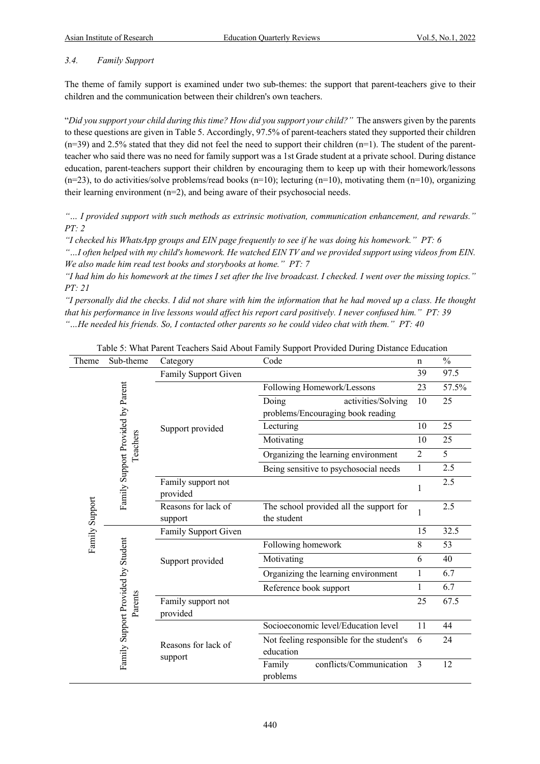#### *3.4. Family Support*

The theme of family support is examined under two sub-themes: the support that parent-teachers give to their children and the communication between their children's own teachers.

"*Did you support your child during this time? How did you support your child?"* The answers given by the parents to these questions are given in Table 5. Accordingly, 97.5% of parent-teachers stated they supported their children  $(n=39)$  and 2.5% stated that they did not feel the need to support their children  $(n=1)$ . The student of the parentteacher who said there was no need for family support was a 1st Grade student at a private school. During distance education, parent-teachers support their children by encouraging them to keep up with their homework/lessons  $(n=23)$ , to do activities/solve problems/read books  $(n=10)$ ; lecturing  $(n=10)$ , motivating them  $(n=10)$ , organizing their learning environment (n=2), and being aware of their psychosocial needs.

*"… I provided support with such methods as extrinsic motivation, communication enhancement, and rewards." PT: 2*

*"I checked his WhatsApp groups and EIN page frequently to see if he was doing his homework." PT: 6*

*"…I often helped with my child's homework. He watched EIN TV and we provided support using videos from EIN. We also made him read test books and storybooks at home." PT: 7*

*"I had him do his homework at the times I set after the live broadcast. I checked. I went over the missing topics." PT: 21*

*"I personally did the checks. I did not share with him the information that he had moved up a class. He thought that his performance in live lessons would affect his report card positively. I never confused him." PT: 39 "…He needed his friends. So, I contacted other parents so he could video chat with them." PT: 40*

| Theme                             | Sub-theme | Category                           | Code                                      | $\mathbf n$    | $\frac{0}{0}$ |
|-----------------------------------|-----------|------------------------------------|-------------------------------------------|----------------|---------------|
|                                   |           | Family Support Given               |                                           | 39             | 97.5          |
|                                   |           |                                    | Following Homework/Lessons                | 23             | 57.5%         |
|                                   |           |                                    | activities/Solving<br>Doing               | 10             | 25            |
|                                   |           |                                    | problems/Encouraging book reading         |                |               |
|                                   |           | Support provided                   | Lecturing                                 | 10             | 25            |
|                                   |           |                                    | Motivating                                | 10             | 25            |
| Teachers                          |           |                                    | Organizing the learning environment       | $\overline{2}$ | 5             |
|                                   |           |                                    | Being sensitive to psychosocial needs     | $\mathbf{1}$   | 2.5           |
| Family Support Provided by Parent |           | Family support not                 |                                           | 1              | 2.5           |
|                                   |           | provided                           |                                           |                |               |
| Family Support                    |           | Reasons for lack of                | The school provided all the support for   |                | 2.5           |
|                                   |           | support                            | the student                               |                |               |
|                                   |           | Family Support Given               |                                           | 15             | 32.5          |
|                                   |           | Family Support Provided by Student | Following homework                        | 8              | 53            |
|                                   |           | Support provided                   | Motivating                                | 6              | 40            |
|                                   |           |                                    | Organizing the learning environment       | 1              | 6.7           |
|                                   |           |                                    | Reference book support                    | 1              | 6.7           |
|                                   | Parents   | Family support not                 |                                           | 25             | 67.5          |
|                                   |           | provided                           |                                           |                |               |
|                                   |           |                                    | Socioeconomic level/Education level       | 11             | 44            |
|                                   |           | Reasons for lack of                | Not feeling responsible for the student's | 6              | 24            |
|                                   |           | support                            | education                                 |                |               |
|                                   |           |                                    | conflicts/Communication<br>Family         | 3              | 12            |
|                                   |           |                                    | problems                                  |                |               |

Table 5: What Parent Teachers Said About Family Support Provided During Distance Education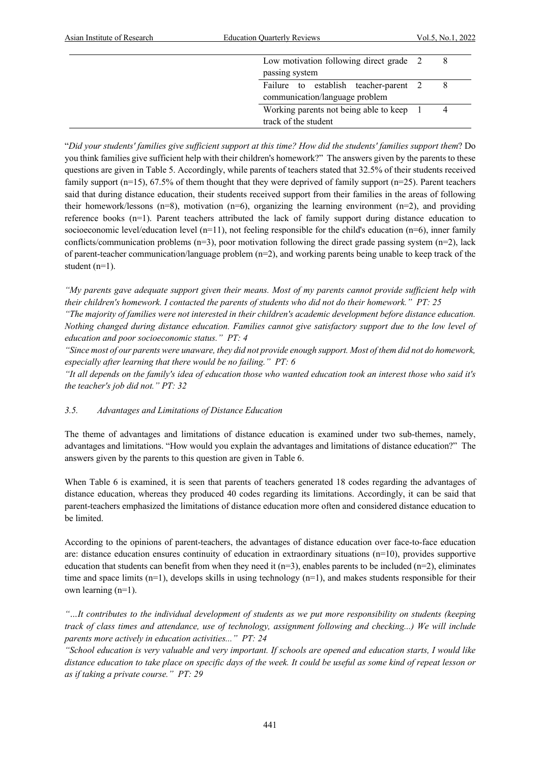| Asian Institute of Research | <b>Education Quarterly Reviews</b>                                      | Vol.5, No.1, 2022 |
|-----------------------------|-------------------------------------------------------------------------|-------------------|
|                             | Low motivation following direct grade 2                                 |                   |
|                             | passing system                                                          |                   |
|                             | Failure to establish teacher-parent 2<br>communication/language problem |                   |
|                             | Working parents not being able to keep 1<br>track of the student        | 4                 |

"*Did your students' families give sufficient support at this time? How did the students' families support them*? Do you think families give sufficient help with their children's homework?" The answers given by the parents to these questions are given in Table 5. Accordingly, while parents of teachers stated that 32.5% of their students received family support ( $n=15$ ), 67.5% of them thought that they were deprived of family support ( $n=25$ ). Parent teachers said that during distance education, their students received support from their families in the areas of following their homework/lessons  $(n=8)$ , motivation  $(n=6)$ , organizing the learning environment  $(n=2)$ , and providing reference books  $(n=1)$ . Parent teachers attributed the lack of family support during distance education to socioeconomic level/education level  $(n=11)$ , not feeling responsible for the child's education  $(n=6)$ , inner family conflicts/communication problems ( $n=3$ ), poor motivation following the direct grade passing system  $(n=2)$ , lack of parent-teacher communication/language problem (n=2), and working parents being unable to keep track of the student (n=1).

*"My parents gave adequate support given their means. Most of my parents cannot provide sufficient help with their children's homework. I contacted the parents of students who did not do their homework." PT: 25*

*"The majority of families were not interested in their children's academic development before distance education. Nothing changed during distance education. Families cannot give satisfactory support due to the low level of education and poor socioeconomic status." PT: 4*

*"Since most of our parents were unaware, they did not provide enough support. Most of them did not do homework, especially after learning that there would be no failing." PT: 6*

*"It all depends on the family's idea of education those who wanted education took an interest those who said it's the teacher's job did not." PT: 32*

## *3.5. Advantages and Limitations of Distance Education*

The theme of advantages and limitations of distance education is examined under two sub-themes, namely, advantages and limitations. "How would you explain the advantages and limitations of distance education?" The answers given by the parents to this question are given in Table 6.

When Table 6 is examined, it is seen that parents of teachers generated 18 codes regarding the advantages of distance education, whereas they produced 40 codes regarding its limitations. Accordingly, it can be said that parent-teachers emphasized the limitations of distance education more often and considered distance education to be limited.

According to the opinions of parent-teachers, the advantages of distance education over face-to-face education are: distance education ensures continuity of education in extraordinary situations (n=10), provides supportive education that students can benefit from when they need it  $(n=3)$ , enables parents to be included  $(n=2)$ , eliminates time and space limits  $(n=1)$ , develops skills in using technology  $(n=1)$ , and makes students responsible for their own learning (n=1).

*"…It contributes to the individual development of students as we put more responsibility on students (keeping track of class times and attendance, use of technology, assignment following and checking...) We will include parents more actively in education activities..." PT: 24*

*"School education is very valuable and very important. If schools are opened and education starts, I would like distance education to take place on specific days of the week. It could be useful as some kind of repeat lesson or as if taking a private course." PT: 29*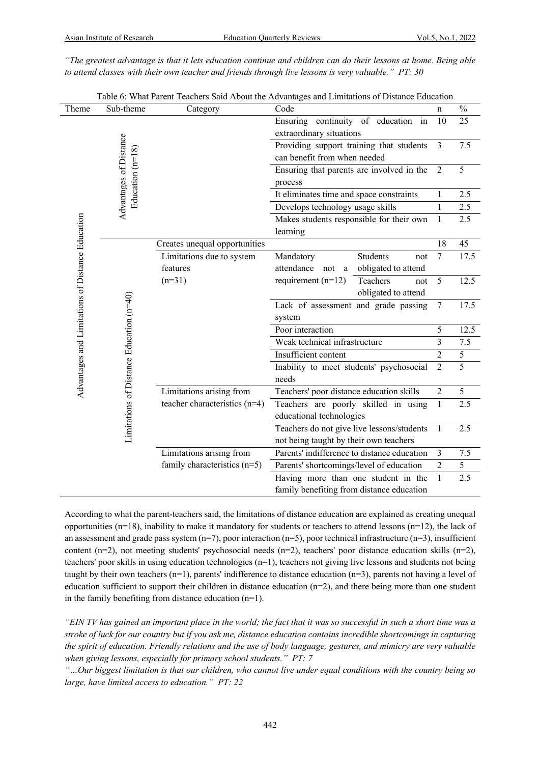*"The greatest advantage is that it lets education continue and children can do their lessons at home. Being able to attend classes with their own teacher and friends through live lessons is very valuable." PT: 30*

| Theme                                            | Sub-theme                                  | Category                       | Code                                                                     | n              | $\frac{0}{0}$  |
|--------------------------------------------------|--------------------------------------------|--------------------------------|--------------------------------------------------------------------------|----------------|----------------|
|                                                  |                                            |                                | Ensuring continuity of education in<br>extraordinary situations          | 10             | 25             |
|                                                  | Advantages of Distance                     |                                | Providing support training that students<br>can benefit from when needed | 3              | 7.5            |
|                                                  | Education $(n=18)$                         |                                | Ensuring that parents are involved in the<br>process                     | $\overline{2}$ | $\overline{5}$ |
|                                                  |                                            |                                | It eliminates time and space constraints                                 | 1              | 2.5            |
|                                                  |                                            |                                | Develops technology usage skills                                         | $\mathbf{1}$   | 2.5            |
|                                                  |                                            |                                | Makes students responsible for their own<br>learning                     | $\mathbf{1}$   | 2.5            |
|                                                  |                                            | Creates unequal opportunities  |                                                                          | 18             | 45             |
|                                                  |                                            | Limitations due to system      | Students<br>Mandatory<br>not                                             | $\overline{7}$ | 17.5           |
|                                                  |                                            | features                       | attendance<br>obligated to attend<br>not<br>a                            |                |                |
|                                                  |                                            | $(n=31)$                       | requirement $(n=12)$<br>Teachers<br>not                                  | 5              | 12.5           |
|                                                  |                                            |                                | obligated to attend                                                      |                |                |
|                                                  |                                            |                                | Lack of assessment and grade passing                                     | $\tau$         | 17.5           |
|                                                  |                                            |                                | system                                                                   |                |                |
|                                                  |                                            |                                | Poor interaction                                                         | 5              | 12.5           |
|                                                  |                                            |                                | Weak technical infrastructure                                            | 3              | 7.5            |
|                                                  |                                            |                                | Insufficient content                                                     | $\overline{2}$ | 5              |
| Advantages and Limitations of Distance Education | Limitations of Distance Education $(n=40)$ |                                | Inability to meet students' psychosocial<br>needs                        | $\overline{2}$ | 5              |
|                                                  |                                            | Limitations arising from       | Teachers' poor distance education skills                                 | $\overline{2}$ | 5              |
|                                                  |                                            | teacher characteristics (n=4)  | Teachers are poorly skilled in using                                     | 1              | 2.5            |
|                                                  |                                            |                                | educational technologies                                                 |                |                |
|                                                  |                                            |                                | Teachers do not give live lessons/students                               | 1              | 2.5            |
|                                                  |                                            |                                | not being taught by their own teachers                                   |                |                |
|                                                  |                                            | Limitations arising from       | Parents' indifference to distance education                              | 3              | 7.5            |
|                                                  |                                            | family characteristics $(n=5)$ | Parents' shortcomings/level of education                                 | $\overline{c}$ | 5              |
|                                                  |                                            |                                | Having more than one student in the                                      | $\mathbf{1}$   | 2.5            |
|                                                  |                                            |                                | family benefiting from distance education                                |                |                |

Table 6: What Parent Teachers Said About the Advantages and Limitations of Distance Education

According to what the parent-teachers said, the limitations of distance education are explained as creating unequal opportunities (n=18), inability to make it mandatory for students or teachers to attend lessons (n=12), the lack of an assessment and grade pass system  $(n=7)$ , poor interaction  $(n=5)$ , poor technical infrastructure  $(n=3)$ , insufficient content (n=2), not meeting students' psychosocial needs (n=2), teachers' poor distance education skills (n=2), teachers' poor skills in using education technologies (n=1), teachers not giving live lessons and students not being taught by their own teachers ( $n=1$ ), parents' indifference to distance education ( $n=3$ ), parents not having a level of education sufficient to support their children in distance education  $(n=2)$ , and there being more than one student in the family benefiting from distance education  $(n=1)$ .

*"EIN TV has gained an important place in the world; the fact that it was so successful in such a short time was a stroke of luck for our country but if you ask me, distance education contains incredible shortcomings in capturing the spirit of education. Friendly relations and the use of body language, gestures, and mimicry are very valuable when giving lessons, especially for primary school students." PT: 7*

*"…Our biggest limitation is that our children, who cannot live under equal conditions with the country being so large, have limited access to education." PT: 22*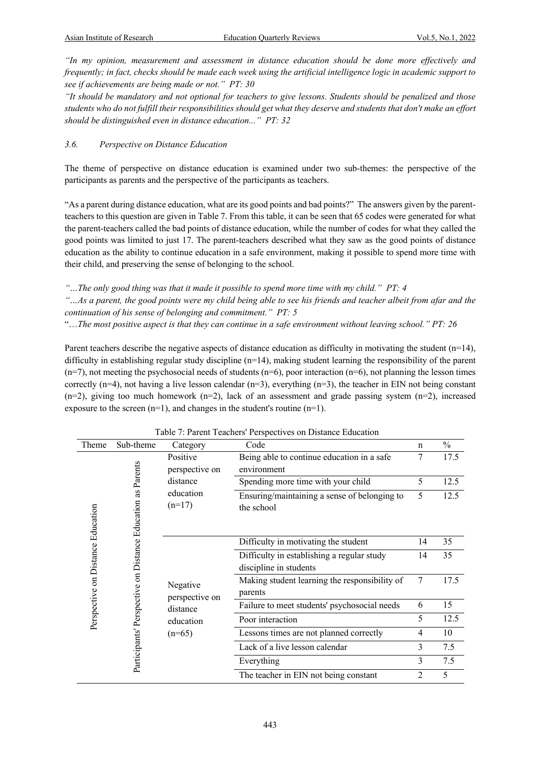*"In my opinion, measurement and assessment in distance education should be done more effectively and frequently; in fact, checks should be made each week using the artificial intelligence logic in academic support to see if achievements are being made or not." PT: 30*

*"It should be mandatory and not optional for teachers to give lessons. Students should be penalized and those students who do not fulfill their responsibilities should get what they deserve and students that don't make an effort should be distinguished even in distance education..." PT: 32*

#### *3.6. Perspective on Distance Education*

The theme of perspective on distance education is examined under two sub-themes: the perspective of the participants as parents and the perspective of the participants as teachers.

"As a parent during distance education, what are its good points and bad points?" The answers given by the parentteachers to this question are given in Table 7. From this table, it can be seen that 65 codes were generated for what the parent-teachers called the bad points of distance education, while the number of codes for what they called the good points was limited to just 17. The parent-teachers described what they saw as the good points of distance education as the ability to continue education in a safe environment, making it possible to spend more time with their child, and preserving the sense of belonging to the school.

*"…The only good thing was that it made it possible to spend more time with my child." PT: 4*

*"…As a parent, the good points were my child being able to see his friends and teacher albeit from afar and the continuation of his sense of belonging and commitment." PT: 5*

"…*The most positive aspect is that they can continue in a safe environment without leaving school." PT: 26*

Parent teachers describe the negative aspects of distance education as difficulty in motivating the student  $(n=14)$ , difficulty in establishing regular study discipline (n=14), making student learning the responsibility of the parent  $(n=7)$ , not meeting the psychosocial needs of students  $(n=6)$ , poor interaction  $(n=6)$ , not planning the lesson times correctly (n=4), not having a live lesson calendar (n=3), everything (n=3), the teacher in EIN not being constant  $(n=2)$ , giving too much homework  $(n=2)$ , lack of an assessment and grade passing system  $(n=2)$ , increased exposure to the screen  $(n=1)$ , and changes in the student's routine  $(n=1)$ .

| Theme                             | Sub-theme                             | Category                   | Code                                                                 | n  | $\frac{0}{0}$ |
|-----------------------------------|---------------------------------------|----------------------------|----------------------------------------------------------------------|----|---------------|
| Perspective on Distance Education | Parents                               | Positive<br>perspective on | Being able to continue education in a safe<br>environment            | 7  | 17.5          |
|                                   |                                       | distance                   | Spending more time with your child                                   | 5  | 12.5          |
|                                   | as<br>Education                       | education<br>$(n=17)$      | Ensuring/maintaining a sense of belonging to<br>the school           | 5  | 12.5          |
|                                   | Participants' Perspective on Distance |                            | Difficulty in motivating the student                                 | 14 | 35            |
|                                   |                                       |                            | Difficulty in establishing a regular study<br>discipline in students | 14 | 35            |
|                                   |                                       | Negative<br>perspective on | Making student learning the responsibility of<br>parents             | 7  | 17.5          |
|                                   |                                       | distance                   | Failure to meet students' psychosocial needs                         | 6  | 15            |
|                                   |                                       | education                  | Poor interaction                                                     | 5  | 12.5          |
|                                   |                                       | $(n=65)$                   | Lessons times are not planned correctly                              | 4  | 10            |
|                                   |                                       |                            | Lack of a live lesson calendar                                       | 3  | 7.5           |
|                                   |                                       |                            | Everything                                                           | 3  | 7.5           |
|                                   |                                       |                            | The teacher in EIN not being constant                                | 2  | 5             |

Table 7: Parent Teachers' Perspectives on Distance Education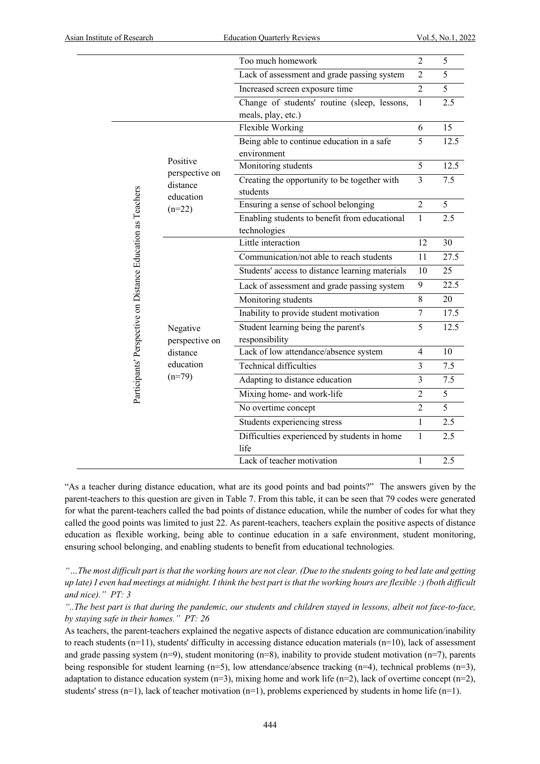|                                                             |                                                                 | Too much homework                                                  | $\overline{2}$ | 5                 |
|-------------------------------------------------------------|-----------------------------------------------------------------|--------------------------------------------------------------------|----------------|-------------------|
|                                                             |                                                                 | Lack of assessment and grade passing system                        | $\overline{2}$ | 5                 |
|                                                             |                                                                 | Increased screen exposure time                                     | $\overline{2}$ | 5                 |
|                                                             |                                                                 | Change of students' routine (sleep, lessons,<br>meals, play, etc.) | $\mathbf{1}$   | 2.5               |
| Participants' Perspective on Distance Education as Teachers | Positive<br>perspective on<br>distance<br>education<br>$(n=22)$ | Flexible Working                                                   | 6              | 15                |
|                                                             |                                                                 | Being able to continue education in a safe<br>environment          | $\overline{5}$ | 12.5              |
|                                                             |                                                                 | Monitoring students                                                | 5              | 12.5              |
|                                                             |                                                                 | Creating the opportunity to be together with<br>students           | $\overline{3}$ | 7.5               |
|                                                             |                                                                 | Ensuring a sense of school belonging                               | $\overline{2}$ | $\overline{5}$    |
|                                                             |                                                                 | Enabling students to benefit from educational<br>technologies      | $\mathbf{1}$   | 2.5               |
|                                                             | Negative<br>perspective on<br>distance<br>education<br>$(n=79)$ | Little interaction                                                 | 12             | 30                |
|                                                             |                                                                 | Communication/not able to reach students                           | 11             | 27.5              |
|                                                             |                                                                 | Students' access to distance learning materials                    | 10             | 25                |
|                                                             |                                                                 | Lack of assessment and grade passing system                        | 9              | 22.5              |
|                                                             |                                                                 | Monitoring students                                                | $8\,$          | 20                |
|                                                             |                                                                 | Inability to provide student motivation                            | $\tau$         | $\overline{17.5}$ |
|                                                             |                                                                 | Student learning being the parent's<br>responsibility              | 5              | 12.5              |
|                                                             |                                                                 | Lack of low attendance/absence system                              | $\overline{4}$ | 10                |
|                                                             |                                                                 | Technical difficulties                                             | $\mathfrak{Z}$ | 7.5               |
|                                                             |                                                                 | Adapting to distance education                                     | $\overline{3}$ | $\overline{7.5}$  |
|                                                             |                                                                 | Mixing home- and work-life                                         | $\overline{2}$ | 5                 |
|                                                             |                                                                 | No overtime concept                                                | $\overline{2}$ | $\overline{5}$    |
|                                                             |                                                                 | Students experiencing stress                                       | $\mathbf{1}$   | 2.5               |
|                                                             |                                                                 | Difficulties experienced by students in home<br>life               | $\mathbf{1}$   | 2.5               |
|                                                             |                                                                 | Lack of teacher motivation                                         | $\mathbf{1}$   | 2.5               |

"As a teacher during distance education, what are its good points and bad points?" The answers given by the parent-teachers to this question are given in Table 7. From this table, it can be seen that 79 codes were generated for what the parent-teachers called the bad points of distance education, while the number of codes for what they called the good points was limited to just 22. As parent-teachers, teachers explain the positive aspects of distance education as flexible working, being able to continue education in a safe environment, student monitoring, ensuring school belonging, and enabling students to benefit from educational technologies.

*"…The most difficult part is that the working hours are not clear. (Due to the students going to bed late and getting up late) I even had meetings at midnight. I think the best part is that the working hours are flexible :) (both difficult and nice)." PT: 3*

*"..The best part is that during the pandemic, our students and children stayed in lessons, albeit not face-to-face, by staying safe in their homes." PT: 26*

As teachers, the parent-teachers explained the negative aspects of distance education are communication/inability to reach students (n=11), students' difficulty in accessing distance education materials (n=10), lack of assessment and grade passing system (n=9), student monitoring (n=8), inability to provide student motivation (n=7), parents being responsible for student learning (n=5), low attendance/absence tracking (n=4), technical problems (n=3), adaptation to distance education system  $(n=3)$ , mixing home and work life  $(n=2)$ , lack of overtime concept  $(n=2)$ , students' stress (n=1), lack of teacher motivation (n=1), problems experienced by students in home life (n=1).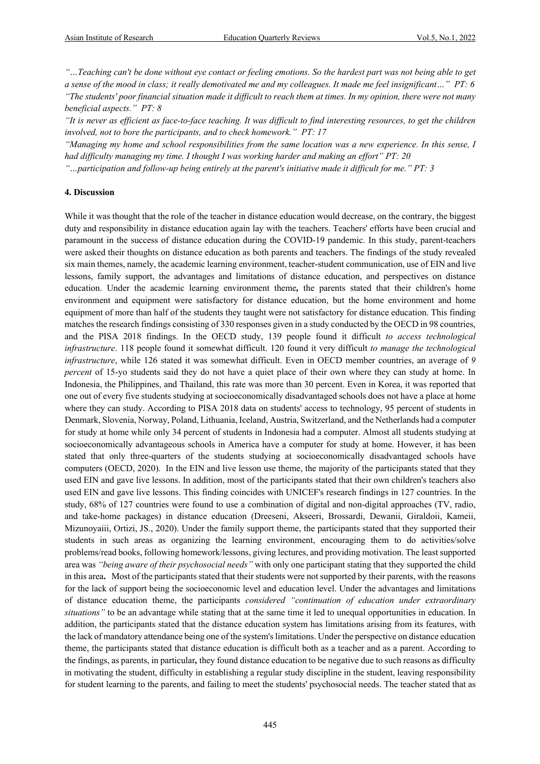*"…Teaching can't be done without eye contact or feeling emotions. So the hardest part was not being able to get a sense of the mood in class; it really demotivated me and my colleagues. It made me feel insignificant…" PT: 6 "The students' poor financial situation made it difficult to reach them at times. In my opinion, there were not many beneficial aspects." PT: 8*

*"It is never as efficient as face-to-face teaching. It was difficult to find interesting resources, to get the children involved, not to bore the participants, and to check homework." PT: 17*

*"Managing my home and school responsibilities from the same location was a new experience. In this sense, I had difficulty managing my time. I thought I was working harder and making an effort" PT: 20*

*"…participation and follow-up being entirely at the parent's initiative made it difficult for me." PT: 3*

#### **4. Discussion**

While it was thought that the role of the teacher in distance education would decrease, on the contrary, the biggest duty and responsibility in distance education again lay with the teachers. Teachers' efforts have been crucial and paramount in the success of distance education during the COVID-19 pandemic. In this study, parent-teachers were asked their thoughts on distance education as both parents and teachers. The findings of the study revealed six main themes, namely, the academic learning environment, teacher-student communication, use of EIN and live lessons, family support, the advantages and limitations of distance education, and perspectives on distance education. Under the academic learning environment theme*,* the parents stated that their children's home environment and equipment were satisfactory for distance education, but the home environment and home equipment of more than half of the students they taught were not satisfactory for distance education. This finding matches the research findings consisting of 330 responses given in a study conducted by the OECD in 98 countries, and the PISA 2018 findings. In the OECD study, 139 people found it difficult *to access technological infrastructure*. 118 people found it somewhat difficult. 120 found it very difficult *to manage the technological infrastructure*, while 126 stated it was somewhat difficult. Even in OECD member countries, an average of *9 percent* of 15-yo students said they do not have a quiet place of their own where they can study at home. In Indonesia, the Philippines, and Thailand, this rate was more than 30 percent. Even in Korea, it was reported that one out of every five students studying at socioeconomically disadvantaged schools does not have a place at home where they can study. According to PISA 2018 data on students' access to technology, 95 percent of students in Denmark, Slovenia, Norway, Poland, Lithuania, Iceland, Austria, Switzerland, and the Netherlands had a computer for study at home while only 34 percent of students in Indonesia had a computer. Almost all students studying at socioeconomically advantageous schools in America have a computer for study at home. However, it has been stated that only three-quarters of the students studying at socioeconomically disadvantaged schools have computers (OECD, 2020).In the EIN and live lesson use theme, the majority of the participants stated that they used EIN and gave live lessons. In addition, most of the participants stated that their own children's teachers also used EIN and gave live lessons. This finding coincides with UNICEF's research findings in 127 countries. In the study, 68% of 127 countries were found to use a combination of digital and non-digital approaches (TV, radio, and take-home packages) in distance education (Dreeseni, Akseeri, Brossardi, Dewanii, Giraldoii, Kameii, Mizunoyaiii, Ortizi, JS., 2020). Under the family support theme, the participants stated that they supported their students in such areas as organizing the learning environment, encouraging them to do activities/solve problems/read books, following homework/lessons, giving lectures, and providing motivation. The least supported area was *"being aware of their psychosocial needs"* with only one participant stating that they supported the child in this area**.**Most of the participants stated that their students were not supported by their parents, with the reasons for the lack of support being the socioeconomic level and education level. Under the advantages and limitations of distance education theme, the participants *considered "continuation of education under extraordinary situations"* to be an advantage while stating that at the same time it led to unequal opportunities in education. In addition, the participants stated that the distance education system has limitations arising from its features, with the lack of mandatory attendance being one of the system's limitations. Under the perspective on distance education theme, the participants stated that distance education is difficult both as a teacher and as a parent. According to the findings, as parents, in particular*,* they found distance education to be negative due to such reasons as difficulty in motivating the student, difficulty in establishing a regular study discipline in the student, leaving responsibility for student learning to the parents, and failing to meet the students' psychosocial needs. The teacher stated that as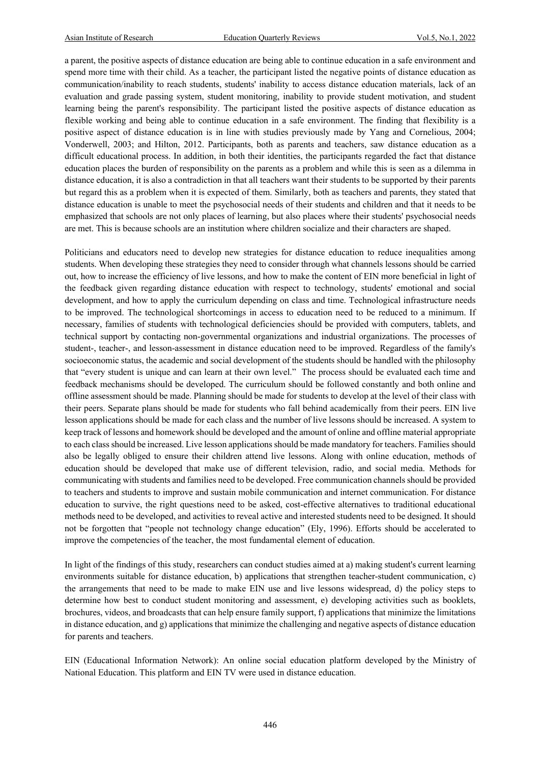a parent, the positive aspects of distance education are being able to continue education in a safe environment and spend more time with their child. As a teacher, the participant listed the negative points of distance education as communication/inability to reach students, students' inability to access distance education materials, lack of an evaluation and grade passing system, student monitoring, inability to provide student motivation, and student learning being the parent's responsibility. The participant listed the positive aspects of distance education as flexible working and being able to continue education in a safe environment. The finding that flexibility is a positive aspect of distance education is in line with studies previously made by Yang and Cornelious, 2004; Vonderwell, 2003; and Hilton, 2012. Participants, both as parents and teachers, saw distance education as a difficult educational process. In addition, in both their identities, the participants regarded the fact that distance education places the burden of responsibility on the parents as a problem and while this is seen as a dilemma in distance education, it is also a contradiction in that all teachers want their students to be supported by their parents but regard this as a problem when it is expected of them. Similarly, both as teachers and parents, they stated that distance education is unable to meet the psychosocial needs of their students and children and that it needs to be emphasized that schools are not only places of learning, but also places where their students' psychosocial needs are met. This is because schools are an institution where children socialize and their characters are shaped.

Politicians and educators need to develop new strategies for distance education to reduce inequalities among students. When developing these strategies they need to consider through what channels lessons should be carried out, how to increase the efficiency of live lessons, and how to make the content of EIN more beneficial in light of the feedback given regarding distance education with respect to technology, students' emotional and social development, and how to apply the curriculum depending on class and time. Technological infrastructure needs to be improved. The technological shortcomings in access to education need to be reduced to a minimum. If necessary, families of students with technological deficiencies should be provided with computers, tablets, and technical support by contacting non-governmental organizations and industrial organizations. The processes of student-, teacher-, and lesson-assessment in distance education need to be improved. Regardless of the family's socioeconomic status, the academic and social development of the students should be handled with the philosophy that "every student is unique and can learn at their own level." The process should be evaluated each time and feedback mechanisms should be developed. The curriculum should be followed constantly and both online and offline assessment should be made. Planning should be made for students to develop at the level of their class with their peers. Separate plans should be made for students who fall behind academically from their peers. EIN live lesson applications should be made for each class and the number of live lessons should be increased. A system to keep track of lessons and homework should be developed and the amount of online and offline material appropriate to each class should be increased. Live lesson applications should be made mandatory for teachers. Families should also be legally obliged to ensure their children attend live lessons. Along with online education, methods of education should be developed that make use of different television, radio, and social media. Methods for communicating with students and families need to be developed. Free communication channels should be provided to teachers and students to improve and sustain mobile communication and internet communication. For distance education to survive, the right questions need to be asked, cost-effective alternatives to traditional educational methods need to be developed, and activities to reveal active and interested students need to be designed. It should not be forgotten that "people not technology change education" (Ely, 1996). Efforts should be accelerated to improve the competencies of the teacher, the most fundamental element of education.

In light of the findings of this study, researchers can conduct studies aimed at a) making student's current learning environments suitable for distance education, b) applications that strengthen teacher-student communication, c) the arrangements that need to be made to make EIN use and live lessons widespread, d) the policy steps to determine how best to conduct student monitoring and assessment, e) developing activities such as booklets, brochures, videos, and broadcasts that can help ensure family support, f) applications that minimize the limitations in distance education, and g) applications that minimize the challenging and negative aspects of distance education for parents and teachers.

EIN (Educational Information Network): An online social education platform developed by the Ministry of National Education. This platform and EIN TV were used in distance education.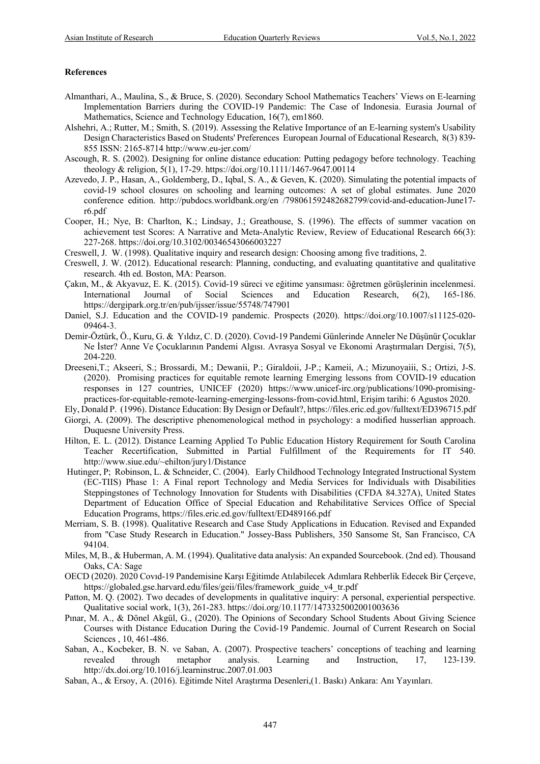#### **References**

- Almanthari, A., Maulina, S., & Bruce, S. (2020). Secondary School Mathematics Teachers' Views on E-learning Implementation Barriers during the COVID-19 Pandemic: The Case of Indonesia. Eurasia Journal of Mathematics, Science and Technology Education, 16(7), em1860.
- Alshehri, A.; Rutter, M.; Smith, S. (2019). Assessing the Relative Importance of an E-learning system's Usability Design Characteristics Based on Students' Preferences European Journal of Educational Research, 8(3) 839- 855 ISSN: 2165-8714 http://www.eu-jer.com/
- Ascough, R. S. (2002). Designing for online distance education: Putting pedagogy before technology. Teaching theology & religion, 5(1), 17-29. https://doi.org/10.1111/1467-9647.00114
- Azevedo, J. P., Hasan, A., Goldemberg, D., Iqbal, S. A., & Geven, K. (2020). Simulating the potential impacts of covid-19 school closures on schooling and learning outcomes: A set of global estimates. June 2020 conference edition. http://pubdocs.worldbank.org/en /798061592482682799/covid-and-education-June17 r6.pdf
- Cooper, H.; Nye, B: Charlton, K.; Lindsay, J.; Greathouse, S. (1996). The effects of summer vacation on achievement test Scores: A Narrative and Meta-Analytic Review, Review of Educational Research 66(3): 227-268. https://doi.org/10.3102/00346543066003227
- Creswell, J. W. (1998). Qualitative inquiry and research design: Choosing among five traditions, 2.
- Creswell, J. W. (2012). Educational research: Planning, conducting, and evaluating quantitative and qualitative research. 4th ed. Boston, MA: Pearson.
- Çakın, M., & Akyavuz, E. K. (2015). Covid-19 süreci ve eğitime yansıması: öğretmen görüşlerinin incelenmesi. International Journal of Social Sciences and Education Research, 6(2), 165-186. https://dergipark.org.tr/en/pub/ijsser/issue/55748/747901
- Daniel, S.J. Education and the COVID-19 pandemic. Prospects (2020). https://doi.org/10.1007/s11125-020- 09464-3.
- Demir-Öztürk, Ö., Kuru, G. & Yıldız, C. D. (2020). Covıd-19 Pandemi Günlerinde Anneler Ne Düşünür Çocuklar Ne İster? Anne Ve Çocuklarının Pandemi Algısı. Avrasya Sosyal ve Ekonomi Araştırmaları Dergisi, 7(5), 204-220.
- Dreeseni,T.; Akseeri, S.; Brossardi, M.; Dewanii, P.; Giraldoii, J-P.; Kameii, A.; Mizunoyaiii, S.; Ortizi, J-S. (2020). Promising practices for equitable remote learning Emerging lessons from COVID-19 education responses in 127 countries, UNICEF (2020) https://www.unicef-irc.org/publications/1090-promisingpractices-for-equitable-remote-learning-emerging-lessons-from-covid.html, Erişim tarihi: 6 Agustos 2020.
- Ely, Donald P. (1996). Distance Education: By Design or Default?, https://files.eric.ed.gov/fulltext/ED396715.pdf Giorgi, A. (2009). The descriptive phenomenological method in psychology: a modified husserlian approach.
- Duquesne University Press.
- Hilton, E. L. (2012). Distance Learning Applied To Public Education History Requirement for South Carolina Teacher Recertification, Submitted in Partial Fulfillment of the Requirements for IT 540. http://www.siue.edu/~ehilton/jury1/Distance
- Hutinger, P; Robinson, L. & Schneider, C. (2004). Early Childhood Technology Integrated Instructional System (EC-TIIS) Phase 1: A Final report Technology and Media Services for Individuals with Disabilities Steppingstones of Technology Innovation for Students with Disabilities (CFDA 84.327A), United States Department of Education Office of Special Education and Rehabilitative Services Office of Special Education Programs, https://files.eric.ed.gov/fulltext/ED489166.pdf
- Merriam, S. B. (1998). Qualitative Research and Case Study Applications in Education. Revised and Expanded from "Case Study Research in Education." Jossey-Bass Publishers, 350 Sansome St, San Francisco, CA 94104.
- Miles, M, B., & Huberman, A. M. (1994). Qualitative data analysis: An expanded Sourcebook. (2nd ed). Thousand Oaks, CA: Sage
- OECD (2020). 2020 Covıd-19 Pandemisine Karşı Eğitimde Atılabilecek Adımlara Rehberlik Edecek Bir Çerçeve, https://globaled.gse.harvard.edu/files/geii/files/framework\_guide\_v4\_tr.pdf
- Patton, M. Q. (2002). Two decades of developments in qualitative inquiry: A personal, experiential perspective. Qualitative social work, 1(3), 261-283. https://doi.org/10.1177/1473325002001003636
- Pınar, M. A., & Dönel Akgül, G., (2020). The Opinions of Secondary School Students About Giving Science Courses with Distance Education During the Covid-19 Pandemic. Journal of Current Research on Social Sciences , 10, 461-486.
- Saban, A., Kocbeker, B. N. ve Saban, A. (2007). Prospective teachers' conceptions of teaching and learning revealed through metaphor analysis. Learning and Instruction, 17, 123-139. http://dx.doi.org/10.1016/j.learninstruc.2007.01.003
- Saban, A., & Ersoy, A. (2016). Eğitimde Nitel Araştırma Desenleri,(1. Baskı) Ankara: Anı Yayınları.